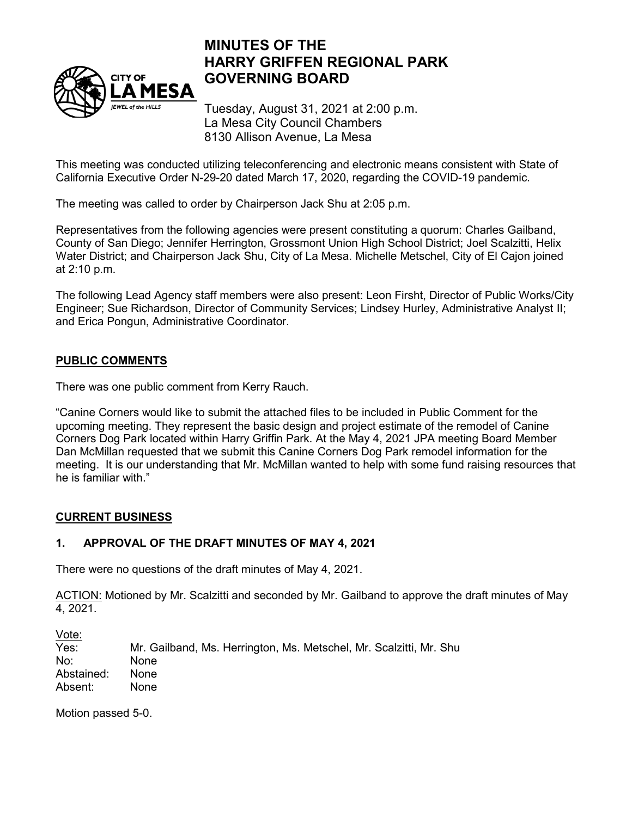

# **MINUTES OF THE HARRY GRIFFEN REGIONAL PARK GOVERNING BOARD**

Tuesday, August 31, 2021 at 2:00 p.m. La Mesa City Council Chambers 8130 Allison Avenue, La Mesa

This meeting was conducted utilizing teleconferencing and electronic means consistent with State of California Executive Order N-29-20 dated March 17, 2020, regarding the COVID-19 pandemic.

The meeting was called to order by Chairperson Jack Shu at 2:05 p.m.

Representatives from the following agencies were present constituting a quorum: Charles Gailband, County of San Diego; Jennifer Herrington, Grossmont Union High School District; Joel Scalzitti, Helix Water District; and Chairperson Jack Shu, City of La Mesa. Michelle Metschel, City of El Cajon joined at 2:10 p.m.

The following Lead Agency staff members were also present: Leon Firsht, Director of Public Works/City Engineer; Sue Richardson, Director of Community Services; Lindsey Hurley, Administrative Analyst II; and Erica Pongun, Administrative Coordinator.

## **PUBLIC COMMENTS**

There was one public comment from Kerry Rauch.

"Canine Corners would like to submit the attached files to be included in Public Comment for the upcoming meeting. They represent the basic design and project estimate of the remodel of Canine Corners Dog Park located within Harry Griffin Park. At the May 4, 2021 JPA meeting Board Member Dan McMillan requested that we submit this Canine Corners Dog Park remodel information for the meeting. It is our understanding that Mr. McMillan wanted to help with some fund raising resources that he is familiar with."

## **CURRENT BUSINESS**

### **1. APPROVAL OF THE DRAFT MINUTES OF MAY 4, 2021**

There were no questions of the draft minutes of May 4, 2021.

ACTION: Motioned by Mr. Scalzitti and seconded by Mr. Gailband to approve the draft minutes of May 4, 2021.

Vote:<br>Yes: Mr. Gailband, Ms. Herrington, Ms. Metschel, Mr. Scalzitti, Mr. Shu No: None Abstained: None Absent: None

Motion passed 5-0.